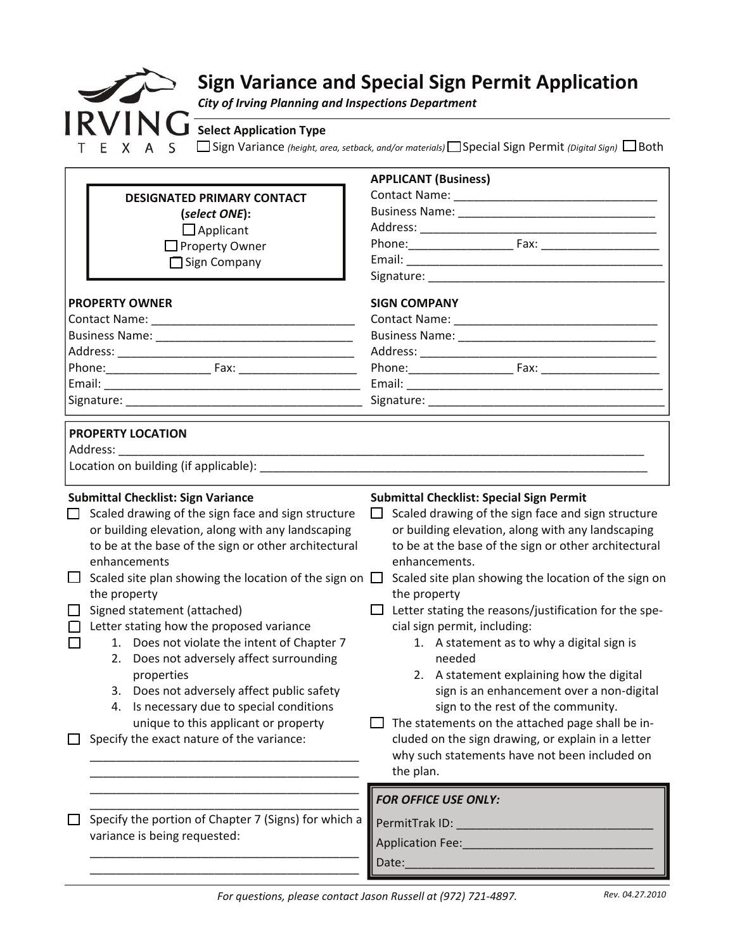

| <b>DESIGNATED PRIMARY CONTACT</b><br>(select ONE):<br>$\Box$ Applicant<br>$\Box$ Property Owner<br>$\Box$ Sign Company<br><b>PROPERTY OWNER</b><br><b>SIGN COMPANY</b><br><b>PROPERTY LOCATION</b><br>Address:<br><b>Submittal Checklist: Sign Variance</b><br><b>Submittal Checklist: Special Sign Permit</b><br>Scaled drawing of the sign face and sign structure<br>Scaled drawing of the sign face and sign structure<br>$\Box$<br>or building elevation, along with any landscaping<br>or building elevation, along with any landscaping<br>to be at the base of the sign or other architectural<br>to be at the base of the sign or other architectural<br>enhancements.<br>enhancements<br>Scaled site plan showing the location of the sign on $\Box$<br>the property<br>the property<br>Signed statement (attached)<br>Letter stating the reasons/justification for the spe-<br>Letter stating how the proposed variance<br>cial sign permit, including:<br>1. Does not violate the intent of Chapter 7<br>1. A statement as to why a digital sign is<br>$\Box$<br>2. Does not adversely affect surrounding<br>needed<br>2. A statement explaining how the digital<br>properties<br>sign is an enhancement over a non-digital<br>3. Does not adversely affect public safety<br>4. Is necessary due to special conditions<br>sign to the rest of the community.<br>unique to this applicant or property<br>The statements on the attached page shall be in-<br>cluded on the sign drawing, or explain in a letter<br>Specify the exact nature of the variance:<br>why such statements have not been included on<br>the plan.<br><b>FOR OFFICE USE ONLY:</b><br>Specify the portion of Chapter 7 (Signs) for which a<br>variance is being requested:<br><b>Application Fee:</b> |        |  | <b>APPLICANT (Business)</b>                          |  |
|-----------------------------------------------------------------------------------------------------------------------------------------------------------------------------------------------------------------------------------------------------------------------------------------------------------------------------------------------------------------------------------------------------------------------------------------------------------------------------------------------------------------------------------------------------------------------------------------------------------------------------------------------------------------------------------------------------------------------------------------------------------------------------------------------------------------------------------------------------------------------------------------------------------------------------------------------------------------------------------------------------------------------------------------------------------------------------------------------------------------------------------------------------------------------------------------------------------------------------------------------------------------------------------------------------------------------------------------------------------------------------------------------------------------------------------------------------------------------------------------------------------------------------------------------------------------------------------------------------------------------------------------------------------------------------------------------------------------------------------------------------------------------------------------|--------|--|------------------------------------------------------|--|
|                                                                                                                                                                                                                                                                                                                                                                                                                                                                                                                                                                                                                                                                                                                                                                                                                                                                                                                                                                                                                                                                                                                                                                                                                                                                                                                                                                                                                                                                                                                                                                                                                                                                                                                                                                                         |        |  |                                                      |  |
|                                                                                                                                                                                                                                                                                                                                                                                                                                                                                                                                                                                                                                                                                                                                                                                                                                                                                                                                                                                                                                                                                                                                                                                                                                                                                                                                                                                                                                                                                                                                                                                                                                                                                                                                                                                         |        |  |                                                      |  |
|                                                                                                                                                                                                                                                                                                                                                                                                                                                                                                                                                                                                                                                                                                                                                                                                                                                                                                                                                                                                                                                                                                                                                                                                                                                                                                                                                                                                                                                                                                                                                                                                                                                                                                                                                                                         |        |  |                                                      |  |
|                                                                                                                                                                                                                                                                                                                                                                                                                                                                                                                                                                                                                                                                                                                                                                                                                                                                                                                                                                                                                                                                                                                                                                                                                                                                                                                                                                                                                                                                                                                                                                                                                                                                                                                                                                                         |        |  |                                                      |  |
|                                                                                                                                                                                                                                                                                                                                                                                                                                                                                                                                                                                                                                                                                                                                                                                                                                                                                                                                                                                                                                                                                                                                                                                                                                                                                                                                                                                                                                                                                                                                                                                                                                                                                                                                                                                         |        |  |                                                      |  |
|                                                                                                                                                                                                                                                                                                                                                                                                                                                                                                                                                                                                                                                                                                                                                                                                                                                                                                                                                                                                                                                                                                                                                                                                                                                                                                                                                                                                                                                                                                                                                                                                                                                                                                                                                                                         |        |  |                                                      |  |
|                                                                                                                                                                                                                                                                                                                                                                                                                                                                                                                                                                                                                                                                                                                                                                                                                                                                                                                                                                                                                                                                                                                                                                                                                                                                                                                                                                                                                                                                                                                                                                                                                                                                                                                                                                                         |        |  |                                                      |  |
|                                                                                                                                                                                                                                                                                                                                                                                                                                                                                                                                                                                                                                                                                                                                                                                                                                                                                                                                                                                                                                                                                                                                                                                                                                                                                                                                                                                                                                                                                                                                                                                                                                                                                                                                                                                         |        |  |                                                      |  |
|                                                                                                                                                                                                                                                                                                                                                                                                                                                                                                                                                                                                                                                                                                                                                                                                                                                                                                                                                                                                                                                                                                                                                                                                                                                                                                                                                                                                                                                                                                                                                                                                                                                                                                                                                                                         |        |  |                                                      |  |
|                                                                                                                                                                                                                                                                                                                                                                                                                                                                                                                                                                                                                                                                                                                                                                                                                                                                                                                                                                                                                                                                                                                                                                                                                                                                                                                                                                                                                                                                                                                                                                                                                                                                                                                                                                                         |        |  |                                                      |  |
|                                                                                                                                                                                                                                                                                                                                                                                                                                                                                                                                                                                                                                                                                                                                                                                                                                                                                                                                                                                                                                                                                                                                                                                                                                                                                                                                                                                                                                                                                                                                                                                                                                                                                                                                                                                         |        |  |                                                      |  |
|                                                                                                                                                                                                                                                                                                                                                                                                                                                                                                                                                                                                                                                                                                                                                                                                                                                                                                                                                                                                                                                                                                                                                                                                                                                                                                                                                                                                                                                                                                                                                                                                                                                                                                                                                                                         |        |  |                                                      |  |
|                                                                                                                                                                                                                                                                                                                                                                                                                                                                                                                                                                                                                                                                                                                                                                                                                                                                                                                                                                                                                                                                                                                                                                                                                                                                                                                                                                                                                                                                                                                                                                                                                                                                                                                                                                                         |        |  |                                                      |  |
|                                                                                                                                                                                                                                                                                                                                                                                                                                                                                                                                                                                                                                                                                                                                                                                                                                                                                                                                                                                                                                                                                                                                                                                                                                                                                                                                                                                                                                                                                                                                                                                                                                                                                                                                                                                         |        |  |                                                      |  |
|                                                                                                                                                                                                                                                                                                                                                                                                                                                                                                                                                                                                                                                                                                                                                                                                                                                                                                                                                                                                                                                                                                                                                                                                                                                                                                                                                                                                                                                                                                                                                                                                                                                                                                                                                                                         |        |  |                                                      |  |
|                                                                                                                                                                                                                                                                                                                                                                                                                                                                                                                                                                                                                                                                                                                                                                                                                                                                                                                                                                                                                                                                                                                                                                                                                                                                                                                                                                                                                                                                                                                                                                                                                                                                                                                                                                                         |        |  |                                                      |  |
|                                                                                                                                                                                                                                                                                                                                                                                                                                                                                                                                                                                                                                                                                                                                                                                                                                                                                                                                                                                                                                                                                                                                                                                                                                                                                                                                                                                                                                                                                                                                                                                                                                                                                                                                                                                         |        |  |                                                      |  |
|                                                                                                                                                                                                                                                                                                                                                                                                                                                                                                                                                                                                                                                                                                                                                                                                                                                                                                                                                                                                                                                                                                                                                                                                                                                                                                                                                                                                                                                                                                                                                                                                                                                                                                                                                                                         |        |  |                                                      |  |
|                                                                                                                                                                                                                                                                                                                                                                                                                                                                                                                                                                                                                                                                                                                                                                                                                                                                                                                                                                                                                                                                                                                                                                                                                                                                                                                                                                                                                                                                                                                                                                                                                                                                                                                                                                                         | $\Box$ |  | Scaled site plan showing the location of the sign on |  |
|                                                                                                                                                                                                                                                                                                                                                                                                                                                                                                                                                                                                                                                                                                                                                                                                                                                                                                                                                                                                                                                                                                                                                                                                                                                                                                                                                                                                                                                                                                                                                                                                                                                                                                                                                                                         |        |  |                                                      |  |
|                                                                                                                                                                                                                                                                                                                                                                                                                                                                                                                                                                                                                                                                                                                                                                                                                                                                                                                                                                                                                                                                                                                                                                                                                                                                                                                                                                                                                                                                                                                                                                                                                                                                                                                                                                                         |        |  |                                                      |  |
|                                                                                                                                                                                                                                                                                                                                                                                                                                                                                                                                                                                                                                                                                                                                                                                                                                                                                                                                                                                                                                                                                                                                                                                                                                                                                                                                                                                                                                                                                                                                                                                                                                                                                                                                                                                         |        |  |                                                      |  |
|                                                                                                                                                                                                                                                                                                                                                                                                                                                                                                                                                                                                                                                                                                                                                                                                                                                                                                                                                                                                                                                                                                                                                                                                                                                                                                                                                                                                                                                                                                                                                                                                                                                                                                                                                                                         |        |  |                                                      |  |
|                                                                                                                                                                                                                                                                                                                                                                                                                                                                                                                                                                                                                                                                                                                                                                                                                                                                                                                                                                                                                                                                                                                                                                                                                                                                                                                                                                                                                                                                                                                                                                                                                                                                                                                                                                                         |        |  |                                                      |  |
|                                                                                                                                                                                                                                                                                                                                                                                                                                                                                                                                                                                                                                                                                                                                                                                                                                                                                                                                                                                                                                                                                                                                                                                                                                                                                                                                                                                                                                                                                                                                                                                                                                                                                                                                                                                         |        |  |                                                      |  |
|                                                                                                                                                                                                                                                                                                                                                                                                                                                                                                                                                                                                                                                                                                                                                                                                                                                                                                                                                                                                                                                                                                                                                                                                                                                                                                                                                                                                                                                                                                                                                                                                                                                                                                                                                                                         |        |  |                                                      |  |
|                                                                                                                                                                                                                                                                                                                                                                                                                                                                                                                                                                                                                                                                                                                                                                                                                                                                                                                                                                                                                                                                                                                                                                                                                                                                                                                                                                                                                                                                                                                                                                                                                                                                                                                                                                                         |        |  |                                                      |  |
|                                                                                                                                                                                                                                                                                                                                                                                                                                                                                                                                                                                                                                                                                                                                                                                                                                                                                                                                                                                                                                                                                                                                                                                                                                                                                                                                                                                                                                                                                                                                                                                                                                                                                                                                                                                         |        |  |                                                      |  |
|                                                                                                                                                                                                                                                                                                                                                                                                                                                                                                                                                                                                                                                                                                                                                                                                                                                                                                                                                                                                                                                                                                                                                                                                                                                                                                                                                                                                                                                                                                                                                                                                                                                                                                                                                                                         |        |  |                                                      |  |
|                                                                                                                                                                                                                                                                                                                                                                                                                                                                                                                                                                                                                                                                                                                                                                                                                                                                                                                                                                                                                                                                                                                                                                                                                                                                                                                                                                                                                                                                                                                                                                                                                                                                                                                                                                                         |        |  |                                                      |  |
|                                                                                                                                                                                                                                                                                                                                                                                                                                                                                                                                                                                                                                                                                                                                                                                                                                                                                                                                                                                                                                                                                                                                                                                                                                                                                                                                                                                                                                                                                                                                                                                                                                                                                                                                                                                         |        |  |                                                      |  |
|                                                                                                                                                                                                                                                                                                                                                                                                                                                                                                                                                                                                                                                                                                                                                                                                                                                                                                                                                                                                                                                                                                                                                                                                                                                                                                                                                                                                                                                                                                                                                                                                                                                                                                                                                                                         |        |  |                                                      |  |
|                                                                                                                                                                                                                                                                                                                                                                                                                                                                                                                                                                                                                                                                                                                                                                                                                                                                                                                                                                                                                                                                                                                                                                                                                                                                                                                                                                                                                                                                                                                                                                                                                                                                                                                                                                                         |        |  | Date:                                                |  |